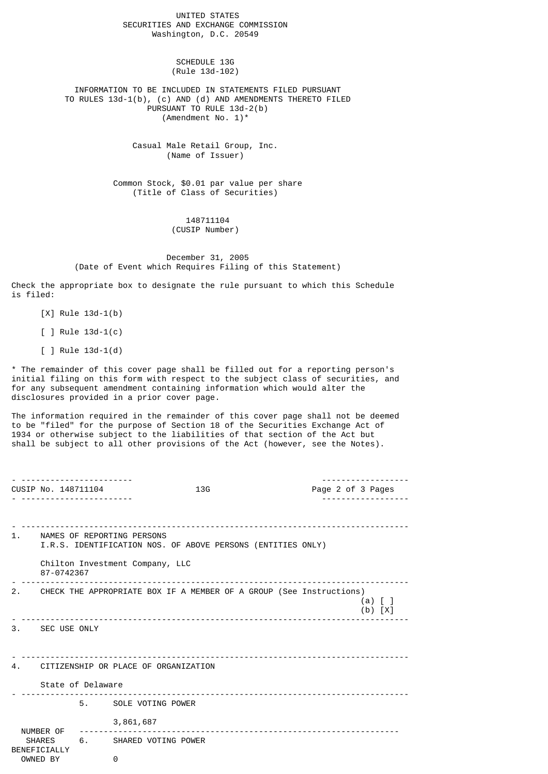UNITED STATES SECURITIES AND EXCHANGE COMMISSION Washington, D.C. 20549

> SCHEDULE 13G (Rule 13d-102)

 INFORMATION TO BE INCLUDED IN STATEMENTS FILED PURSUANT TO RULES 13d-1(b), (c) AND (d) AND AMENDMENTS THERETO FILED PURSUANT TO RULE 13d-2(b) (Amendment No. 1)\*

> Casual Male Retail Group, Inc. (Name of Issuer)

 Common Stock, \$0.01 par value per share (Title of Class of Securities)

> 148711104 (CUSIP Number)

 December 31, 2005 (Date of Event which Requires Filing of this Statement)

Check the appropriate box to designate the rule pursuant to which this Schedule is filed:

[X] Rule 13d-1(b)

[ ] Rule 13d-1(c)

[ ] Rule 13d-1(d)

\* The remainder of this cover page shall be filled out for a reporting person's initial filing on this form with respect to the subject class of securities, and for any subsequent amendment containing information which would alter the disclosures provided in a prior cover page.

The information required in the remainder of this cover page shall not be deemed to be "filed" for the purpose of Section 18 of the Securities Exchange Act of 1934 or otherwise subject to the liabilities of that section of the Act but shall be subject to all other provisions of the Act (however, see the Notes).

|                                         |                                                                                                    | CUSIP No. 148711104                                                                                                                           |                        | 13G |  | Page 2 of 3 Pages |  |  |  |
|-----------------------------------------|----------------------------------------------------------------------------------------------------|-----------------------------------------------------------------------------------------------------------------------------------------------|------------------------|-----|--|-------------------|--|--|--|
|                                         |                                                                                                    | 1. NAMES OF REPORTING PERSONS<br>I.R.S. IDENTIFICATION NOS. OF ABOVE PERSONS (ENTITIES ONLY)<br>Chilton Investment Company, LLC<br>87-0742367 |                        |     |  |                   |  |  |  |
|                                         | 2. CHECK THE APPROPRIATE BOX IF A MEMBER OF A GROUP (See Instructions)<br>$(a)$ [ ]<br>$(b)$ $[X]$ |                                                                                                                                               |                        |     |  |                   |  |  |  |
|                                         | 3. SEC USE ONLY                                                                                    |                                                                                                                                               |                        |     |  |                   |  |  |  |
| 4. CITIZENSHIP OR PLACE OF ORGANIZATION |                                                                                                    |                                                                                                                                               |                        |     |  |                   |  |  |  |
|                                         | State of Delaware                                                                                  |                                                                                                                                               |                        |     |  |                   |  |  |  |
|                                         |                                                                                                    |                                                                                                                                               | 5. SOLE VOTING POWER   |     |  |                   |  |  |  |
|                                         | NUMBER OF ----------<br><b>SHARES</b><br>BENEFICIALLY<br>OWNED BY                                  |                                                                                                                                               | 3,861,687              |     |  |                   |  |  |  |
|                                         |                                                                                                    |                                                                                                                                               | 6. SHARED VOTING POWER |     |  |                   |  |  |  |
|                                         |                                                                                                    |                                                                                                                                               | 0                      |     |  |                   |  |  |  |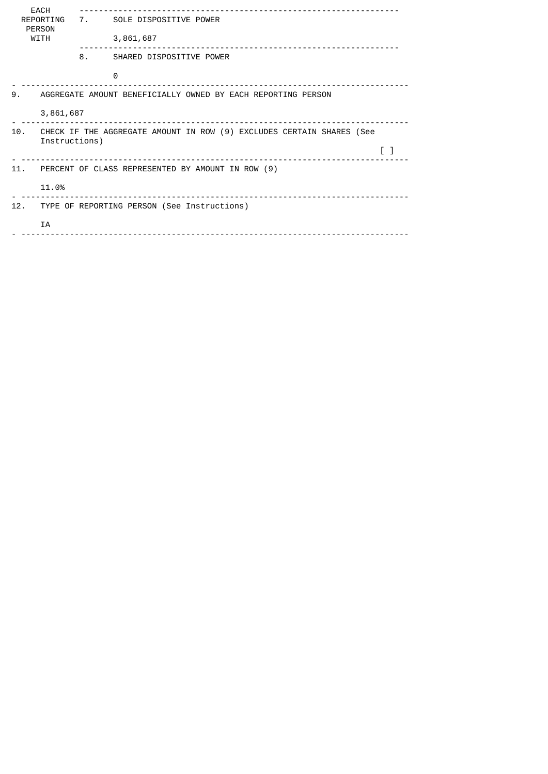| <b>EACH</b><br>REPORTING<br><b>PERSON</b><br><b>WITH</b>           |                                                                       | 7. SOLE DISPOSITIVE POWER<br>3,861,687 |                          |  |  |  |  |  |
|--------------------------------------------------------------------|-----------------------------------------------------------------------|----------------------------------------|--------------------------|--|--|--|--|--|
|                                                                    |                                                                       | 8.                                     | SHARED DISPOSITIVE POWER |  |  |  |  |  |
|                                                                    |                                                                       |                                        | $\Theta$                 |  |  |  |  |  |
| 9.<br>AGGREGATE AMOUNT BENEFICIALLY OWNED BY EACH REPORTING PERSON |                                                                       |                                        |                          |  |  |  |  |  |
|                                                                    | 3,861,687                                                             |                                        |                          |  |  |  |  |  |
| 10.                                                                | CHECK IF THE AGGREGATE AMOUNT IN ROW (9) EXCLUDES CERTAIN SHARES (See |                                        |                          |  |  |  |  |  |
|                                                                    | Instructions)                                                         |                                        |                          |  |  |  |  |  |
| 11.                                                                | PERCENT OF CLASS REPRESENTED BY AMOUNT IN ROW (9)                     |                                        |                          |  |  |  |  |  |
|                                                                    | 11.0%                                                                 |                                        |                          |  |  |  |  |  |
| 12.                                                                | TYPE OF REPORTING PERSON (See Instructions)                           |                                        |                          |  |  |  |  |  |
|                                                                    | IA                                                                    |                                        |                          |  |  |  |  |  |
|                                                                    |                                                                       |                                        |                          |  |  |  |  |  |